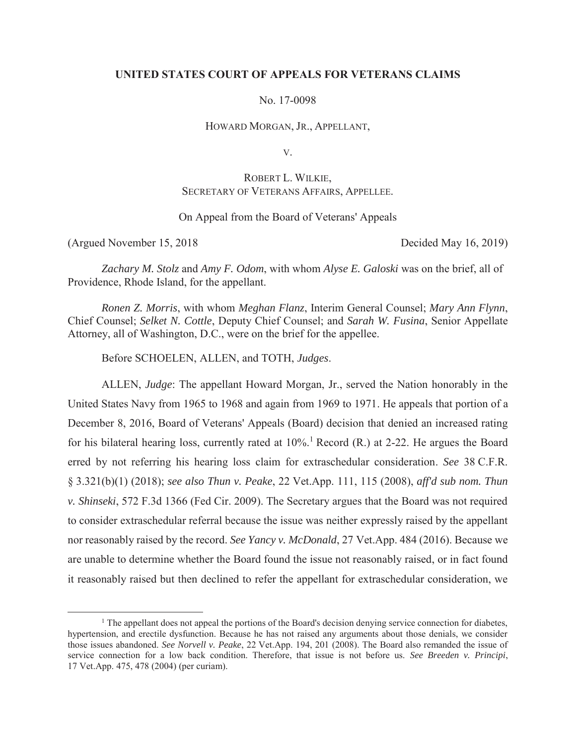## **UNITED STATES COURT OF APPEALS FOR VETERANS CLAIMS**

No. 17-0098

HOWARD MORGAN, JR., APPELLANT,

V.

# ROBERT L. WILKIE, SECRETARY OF VETERANS AFFAIRS, APPELLEE.

## On Appeal from the Board of Veterans' Appeals

(Argued November 15, 2018 Decided May 16, 2019)

*Zachary M. Stolz* and *Amy F. Odom*, with whom *Alyse E. Galoski* was on the brief, all of Providence, Rhode Island, for the appellant.

*Ronen Z. Morris*, with whom *Meghan Flanz*, Interim General Counsel; *Mary Ann Flynn*, Chief Counsel; *Selket N. Cottle*, Deputy Chief Counsel; and *Sarah W. Fusina*, Senior Appellate Attorney, all of Washington, D.C., were on the brief for the appellee.

Before SCHOELEN, ALLEN, and TOTH, *Judges*.

ALLEN, *Judge*: The appellant Howard Morgan, Jr., served the Nation honorably in the United States Navy from 1965 to 1968 and again from 1969 to 1971. He appeals that portion of a December 8, 2016, Board of Veterans' Appeals (Board) decision that denied an increased rating for his bilateral hearing loss, currently rated at 10%.<sup>1</sup> Record (R.) at 2-22. He argues the Board erred by not referring his hearing loss claim for extraschedular consideration. *See* 38 C.F.R. § 3.321(b)(1) (2018); *see also Thun v. Peake*, 22 Vet.App. 111, 115 (2008), *aff'd sub nom. Thun v. Shinseki*, 572 F.3d 1366 (Fed Cir. 2009). The Secretary argues that the Board was not required to consider extraschedular referral because the issue was neither expressly raised by the appellant nor reasonably raised by the record. *See Yancy v. McDonald*, 27 Vet.App. 484 (2016). Because we are unable to determine whether the Board found the issue not reasonably raised, or in fact found it reasonably raised but then declined to refer the appellant for extraschedular consideration, we

 $\overline{\phantom{a}}$  $<sup>1</sup>$  The appellant does not appeal the portions of the Board's decision denying service connection for diabetes,</sup> hypertension, and erectile dysfunction. Because he has not raised any arguments about those denials, we consider those issues abandoned. *See Norvell v. Peake*, 22 Vet.App. 194, 201 (2008). The Board also remanded the issue of service connection for a low back condition. Therefore, that issue is not before us. *See Breeden v. Principi*, 17 Vet.App. 475, 478 (2004) (per curiam).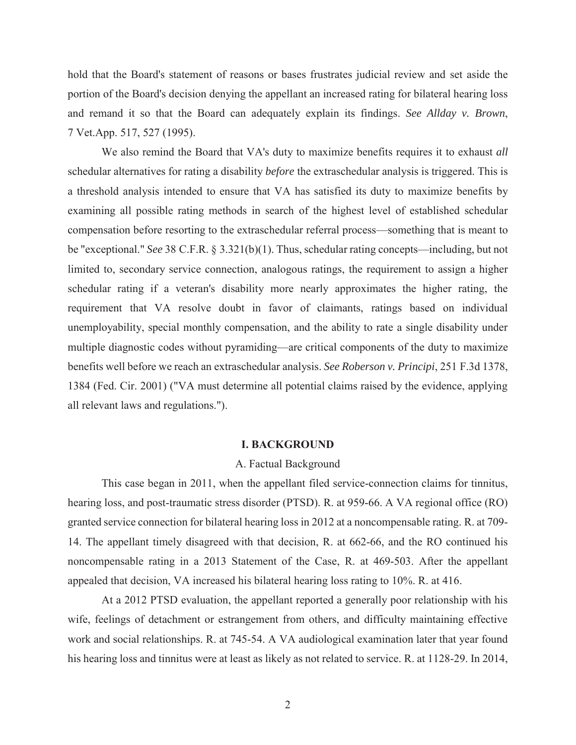hold that the Board's statement of reasons or bases frustrates judicial review and set aside the portion of the Board's decision denying the appellant an increased rating for bilateral hearing loss and remand it so that the Board can adequately explain its findings. *See Allday v. Brown*, 7 Vet.App. 517, 527 (1995).

We also remind the Board that VA's duty to maximize benefits requires it to exhaust *all* schedular alternatives for rating a disability *before* the extraschedular analysis is triggered. This is a threshold analysis intended to ensure that VA has satisfied its duty to maximize benefits by examining all possible rating methods in search of the highest level of established schedular compensation before resorting to the extraschedular referral process—something that is meant to be "exceptional." *See* 38 C.F.R. § 3.321(b)(1). Thus, schedular rating concepts—including, but not limited to, secondary service connection, analogous ratings, the requirement to assign a higher schedular rating if a veteran's disability more nearly approximates the higher rating, the requirement that VA resolve doubt in favor of claimants, ratings based on individual unemployability, special monthly compensation, and the ability to rate a single disability under multiple diagnostic codes without pyramiding—are critical components of the duty to maximize benefits well before we reach an extraschedular analysis. *See Roberson v. Principi*, 251 F.3d 1378, 1384 (Fed. Cir. 2001) ("VA must determine all potential claims raised by the evidence, applying all relevant laws and regulations.").

#### **I. BACKGROUND**

#### A. Factual Background

This case began in 2011, when the appellant filed service-connection claims for tinnitus, hearing loss, and post-traumatic stress disorder (PTSD). R. at 959-66. A VA regional office (RO) granted service connection for bilateral hearing loss in 2012 at a noncompensable rating. R. at 709- 14. The appellant timely disagreed with that decision, R. at 662-66, and the RO continued his noncompensable rating in a 2013 Statement of the Case, R. at 469-503. After the appellant appealed that decision, VA increased his bilateral hearing loss rating to 10%. R. at 416.

 At a 2012 PTSD evaluation, the appellant reported a generally poor relationship with his wife, feelings of detachment or estrangement from others, and difficulty maintaining effective work and social relationships. R. at 745-54. A VA audiological examination later that year found his hearing loss and tinnitus were at least as likely as not related to service. R. at 1128-29. In 2014,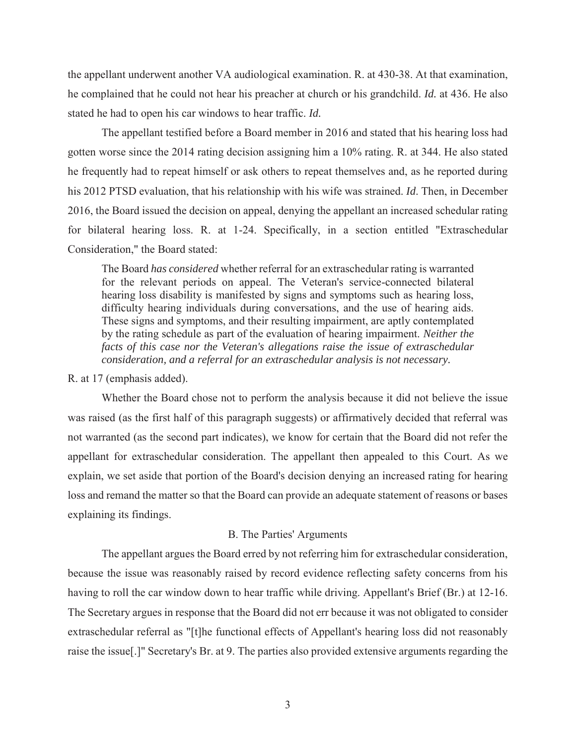the appellant underwent another VA audiological examination. R. at 430-38. At that examination, he complained that he could not hear his preacher at church or his grandchild. *Id.* at 436. He also stated he had to open his car windows to hear traffic. *Id.*

 The appellant testified before a Board member in 2016 and stated that his hearing loss had gotten worse since the 2014 rating decision assigning him a 10% rating. R. at 344. He also stated he frequently had to repeat himself or ask others to repeat themselves and, as he reported during his 2012 PTSD evaluation, that his relationship with his wife was strained. *Id*. Then, in December 2016, the Board issued the decision on appeal, denying the appellant an increased schedular rating for bilateral hearing loss. R. at 1-24. Specifically, in a section entitled "Extraschedular Consideration," the Board stated:

The Board *has considered* whether referral for an extraschedular rating is warranted for the relevant periods on appeal. The Veteran's service-connected bilateral hearing loss disability is manifested by signs and symptoms such as hearing loss, difficulty hearing individuals during conversations, and the use of hearing aids. These signs and symptoms, and their resulting impairment, are aptly contemplated by the rating schedule as part of the evaluation of hearing impairment. *Neither the facts of this case nor the Veteran's allegations raise the issue of extraschedular consideration, and a referral for an extraschedular analysis is not necessary.*

#### R. at 17 (emphasis added).

Whether the Board chose not to perform the analysis because it did not believe the issue was raised (as the first half of this paragraph suggests) or affirmatively decided that referral was not warranted (as the second part indicates), we know for certain that the Board did not refer the appellant for extraschedular consideration. The appellant then appealed to this Court. As we explain, we set aside that portion of the Board's decision denying an increased rating for hearing loss and remand the matter so that the Board can provide an adequate statement of reasons or bases explaining its findings.

#### B. The Parties' Arguments

 The appellant argues the Board erred by not referring him for extraschedular consideration, because the issue was reasonably raised by record evidence reflecting safety concerns from his having to roll the car window down to hear traffic while driving. Appellant's Brief (Br.) at 12-16. The Secretary argues in response that the Board did not err because it was not obligated to consider extraschedular referral as "[t]he functional effects of Appellant's hearing loss did not reasonably raise the issue[.]" Secretary's Br. at 9. The parties also provided extensive arguments regarding the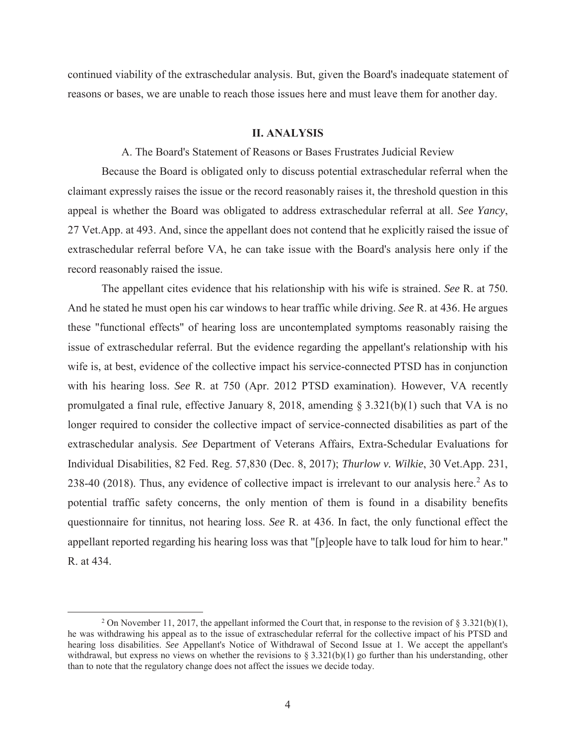continued viability of the extraschedular analysis. But, given the Board's inadequate statement of reasons or bases, we are unable to reach those issues here and must leave them for another day.

#### **II. ANALYSIS**

A. The Board's Statement of Reasons or Bases Frustrates Judicial Review

 Because the Board is obligated only to discuss potential extraschedular referral when the claimant expressly raises the issue or the record reasonably raises it, the threshold question in this appeal is whether the Board was obligated to address extraschedular referral at all. *See Yancy*, 27 Vet.App. at 493. And, since the appellant does not contend that he explicitly raised the issue of extraschedular referral before VA, he can take issue with the Board's analysis here only if the record reasonably raised the issue.

 The appellant cites evidence that his relationship with his wife is strained. *See* R. at 750. And he stated he must open his car windows to hear traffic while driving. *See* R. at 436. He argues these "functional effects" of hearing loss are uncontemplated symptoms reasonably raising the issue of extraschedular referral. But the evidence regarding the appellant's relationship with his wife is, at best, evidence of the collective impact his service-connected PTSD has in conjunction with his hearing loss. *See* R. at 750 (Apr. 2012 PTSD examination). However, VA recently promulgated a final rule, effective January 8, 2018, amending § 3.321(b)(1) such that VA is no longer required to consider the collective impact of service-connected disabilities as part of the extraschedular analysis. *See* Department of Veterans Affairs, Extra-Schedular Evaluations for Individual Disabilities, 82 Fed. Reg. 57,830 (Dec. 8, 2017); *Thurlow v. Wilkie*, 30 Vet.App. 231, 238-40 (2018). Thus, any evidence of collective impact is irrelevant to our analysis here.<sup>2</sup> As to potential traffic safety concerns, the only mention of them is found in a disability benefits questionnaire for tinnitus, not hearing loss. *See* R. at 436. In fact, the only functional effect the appellant reported regarding his hearing loss was that "[p]eople have to talk loud for him to hear." R. at 434.

 $\frac{1}{2}$ <sup>2</sup> On November 11, 2017, the appellant informed the Court that, in response to the revision of § 3.321(b)(1), he was withdrawing his appeal as to the issue of extraschedular referral for the collective impact of his PTSD and hearing loss disabilities. *See* Appellant's Notice of Withdrawal of Second Issue at 1. We accept the appellant's withdrawal, but express no views on whether the revisions to  $\S 3.321(b)(1)$  go further than his understanding, other than to note that the regulatory change does not affect the issues we decide today.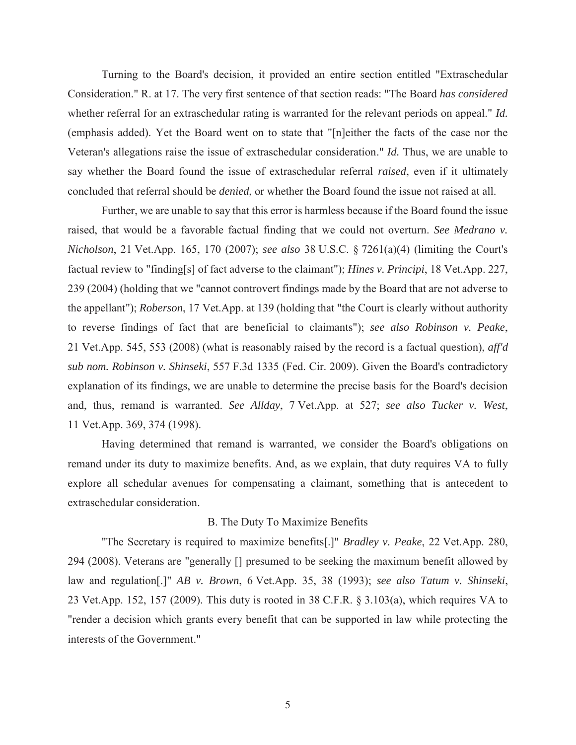Turning to the Board's decision, it provided an entire section entitled "Extraschedular Consideration." R. at 17. The very first sentence of that section reads: "The Board *has considered* whether referral for an extraschedular rating is warranted for the relevant periods on appeal." *Id.* (emphasis added). Yet the Board went on to state that "[n]either the facts of the case nor the Veteran's allegations raise the issue of extraschedular consideration." *Id.* Thus, we are unable to say whether the Board found the issue of extraschedular referral *raised*, even if it ultimately concluded that referral should be *denied*, or whether the Board found the issue not raised at all.

 Further, we are unable to say that this error is harmless because if the Board found the issue raised, that would be a favorable factual finding that we could not overturn. *See Medrano v. Nicholson*, 21 Vet.App. 165, 170 (2007); *see also* 38 U.S.C. § 7261(a)(4) (limiting the Court's factual review to "finding[s] of fact adverse to the claimant"); *Hines v. Principi*, 18 Vet.App. 227, 239 (2004) (holding that we "cannot controvert findings made by the Board that are not adverse to the appellant"); *Roberson*, 17 Vet.App. at 139 (holding that "the Court is clearly without authority to reverse findings of fact that are beneficial to claimants"); *see also Robinson v. Peake*, 21 Vet.App. 545, 553 (2008) (what is reasonably raised by the record is a factual question), *aff'd sub nom. Robinson v. Shinseki*, 557 F.3d 1335 (Fed. Cir. 2009). Given the Board's contradictory explanation of its findings, we are unable to determine the precise basis for the Board's decision and, thus, remand is warranted. *See Allday*, 7 Vet.App. at 527; *see also Tucker v. West*, 11 Vet.App. 369, 374 (1998).

Having determined that remand is warranted, we consider the Board's obligations on remand under its duty to maximize benefits. And, as we explain, that duty requires VA to fully explore all schedular avenues for compensating a claimant, something that is antecedent to extraschedular consideration.

## B. The Duty To Maximize Benefits

 "The Secretary is required to maximize benefits[.]" *Bradley v. Peake*, 22 Vet.App. 280, 294 (2008). Veterans are "generally [] presumed to be seeking the maximum benefit allowed by law and regulation[.]" *AB v. Brown*, 6 Vet.App. 35, 38 (1993); *see also Tatum v. Shinseki*, 23 Vet.App. 152, 157 (2009). This duty is rooted in 38 C.F.R. § 3.103(a), which requires VA to "render a decision which grants every benefit that can be supported in law while protecting the interests of the Government."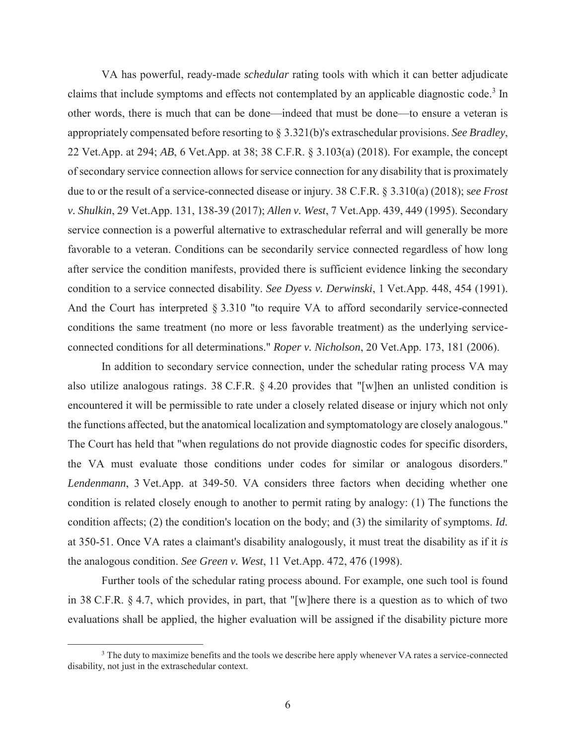VA has powerful, ready-made *schedular* rating tools with which it can better adjudicate claims that include symptoms and effects not contemplated by an applicable diagnostic code.<sup>3</sup> In other words, there is much that can be done—indeed that must be done—to ensure a veteran is appropriately compensated before resorting to § 3.321(b)'s extraschedular provisions. *See Bradley*, 22 Vet.App. at 294; *AB*, 6 Vet.App. at 38; 38 C.F.R. § 3.103(a) (2018). For example, the concept of secondary service connection allows for service connection for any disability that is proximately due to or the result of a service-connected disease or injury. 38 C.F.R. § 3.310(a) (2018); s*ee Frost v. Shulkin*, 29 Vet.App. 131, 138-39 (2017); *Allen v. West*, 7 Vet.App. 439, 449 (1995). Secondary service connection is a powerful alternative to extraschedular referral and will generally be more favorable to a veteran. Conditions can be secondarily service connected regardless of how long after service the condition manifests, provided there is sufficient evidence linking the secondary condition to a service connected disability. *See Dyess v. Derwinski*, 1 Vet.App. 448, 454 (1991). And the Court has interpreted § 3.310 "to require VA to afford secondarily service-connected conditions the same treatment (no more or less favorable treatment) as the underlying serviceconnected conditions for all determinations." *Roper v. Nicholson*, 20 Vet.App. 173, 181 (2006).

 In addition to secondary service connection, under the schedular rating process VA may also utilize analogous ratings. 38 C.F.R. § 4.20 provides that "[w]hen an unlisted condition is encountered it will be permissible to rate under a closely related disease or injury which not only the functions affected, but the anatomical localization and symptomatology are closely analogous." The Court has held that "when regulations do not provide diagnostic codes for specific disorders, the VA must evaluate those conditions under codes for similar or analogous disorders." *Lendenmann*, 3 Vet.App. at 349-50. VA considers three factors when deciding whether one condition is related closely enough to another to permit rating by analogy: (1) The functions the condition affects; (2) the condition's location on the body; and (3) the similarity of symptoms. *Id.* at 350-51. Once VA rates a claimant's disability analogously, it must treat the disability as if it *is* the analogous condition. *See Green v. West*, 11 Vet.App. 472, 476 (1998).

 Further tools of the schedular rating process abound. For example, one such tool is found in 38 C.F.R. § 4.7, which provides, in part, that "[w]here there is a question as to which of two evaluations shall be applied, the higher evaluation will be assigned if the disability picture more

 $\frac{1}{3}$ <sup>3</sup> The duty to maximize benefits and the tools we describe here apply whenever VA rates a service-connected disability, not just in the extraschedular context.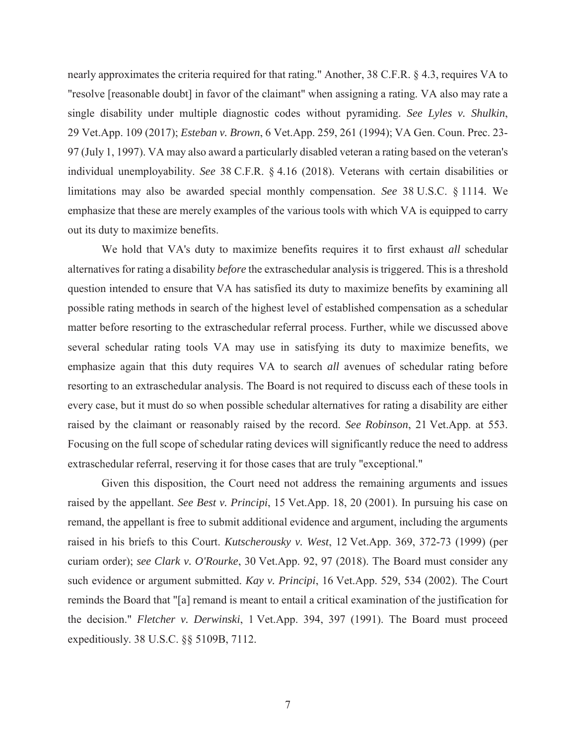nearly approximates the criteria required for that rating." Another, 38 C.F.R. § 4.3, requires VA to "resolve [reasonable doubt] in favor of the claimant" when assigning a rating. VA also may rate a single disability under multiple diagnostic codes without pyramiding. *See Lyles v. Shulkin*, 29 Vet.App. 109 (2017); *Esteban v. Brown*, 6 Vet.App. 259, 261 (1994); VA Gen. Coun. Prec. 23- 97 (July 1, 1997). VA may also award a particularly disabled veteran a rating based on the veteran's individual unemployability. *See* 38 C.F.R. § 4.16 (2018). Veterans with certain disabilities or limitations may also be awarded special monthly compensation. *See* 38 U.S.C. § 1114. We emphasize that these are merely examples of the various tools with which VA is equipped to carry out its duty to maximize benefits.

 We hold that VA's duty to maximize benefits requires it to first exhaust *all* schedular alternatives for rating a disability *before* the extraschedular analysis is triggered. This is a threshold question intended to ensure that VA has satisfied its duty to maximize benefits by examining all possible rating methods in search of the highest level of established compensation as a schedular matter before resorting to the extraschedular referral process. Further, while we discussed above several schedular rating tools VA may use in satisfying its duty to maximize benefits, we emphasize again that this duty requires VA to search *all* avenues of schedular rating before resorting to an extraschedular analysis. The Board is not required to discuss each of these tools in every case, but it must do so when possible schedular alternatives for rating a disability are either raised by the claimant or reasonably raised by the record. *See Robinson*, 21 Vet.App. at 553. Focusing on the full scope of schedular rating devices will significantly reduce the need to address extraschedular referral, reserving it for those cases that are truly "exceptional."

 Given this disposition, the Court need not address the remaining arguments and issues raised by the appellant. *See Best v. Principi*, 15 Vet.App. 18, 20 (2001). In pursuing his case on remand, the appellant is free to submit additional evidence and argument, including the arguments raised in his briefs to this Court. *Kutscherousky v. West*, 12 Vet.App. 369, 372-73 (1999) (per curiam order); *see Clark v. O'Rourke*, 30 Vet.App. 92, 97 (2018). The Board must consider any such evidence or argument submitted. *Kay v. Principi*, 16 Vet.App. 529, 534 (2002). The Court reminds the Board that "[a] remand is meant to entail a critical examination of the justification for the decision." *Fletcher v. Derwinski*, 1 Vet.App. 394, 397 (1991). The Board must proceed expeditiously. 38 U.S.C. §§ 5109B, 7112.